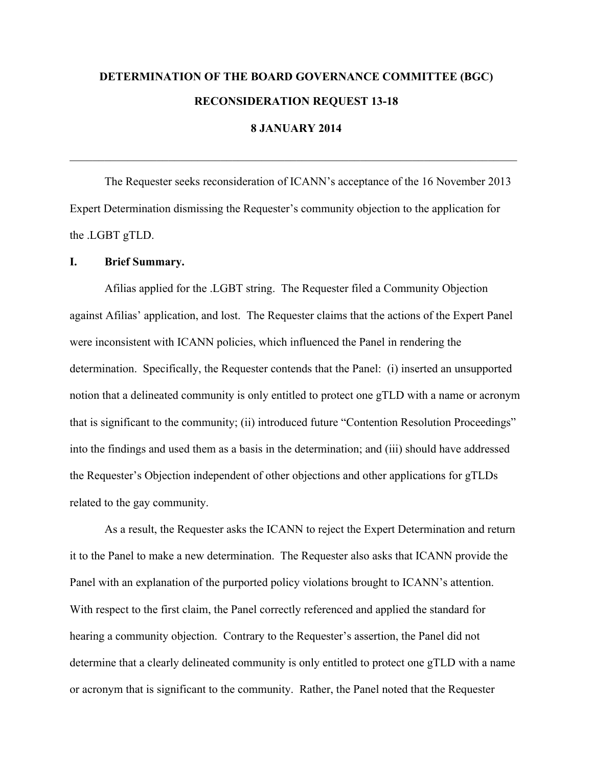# **DETERMINATION OF THE BOARD GOVERNANCE COMMITTEE (BGC) RECONSIDERATION REQUEST 13-18**

## **8 JANUARY 2014**

 $\mathcal{L}_\mathcal{L} = \{ \mathcal{L}_\mathcal{L} = \{ \mathcal{L}_\mathcal{L} = \{ \mathcal{L}_\mathcal{L} = \{ \mathcal{L}_\mathcal{L} = \{ \mathcal{L}_\mathcal{L} = \{ \mathcal{L}_\mathcal{L} = \{ \mathcal{L}_\mathcal{L} = \{ \mathcal{L}_\mathcal{L} = \{ \mathcal{L}_\mathcal{L} = \{ \mathcal{L}_\mathcal{L} = \{ \mathcal{L}_\mathcal{L} = \{ \mathcal{L}_\mathcal{L} = \{ \mathcal{L}_\mathcal{L} = \{ \mathcal{L}_\mathcal{$ 

The Requester seeks reconsideration of ICANN's acceptance of the 16 November 2013 Expert Determination dismissing the Requester's community objection to the application for the .LGBT gTLD.

#### **I. Brief Summary.**

Afilias applied for the .LGBT string. The Requester filed a Community Objection against Afilias' application, and lost. The Requester claims that the actions of the Expert Panel were inconsistent with ICANN policies, which influenced the Panel in rendering the determination. Specifically, the Requester contends that the Panel: (i) inserted an unsupported notion that a delineated community is only entitled to protect one gTLD with a name or acronym that is significant to the community; (ii) introduced future "Contention Resolution Proceedings" into the findings and used them as a basis in the determination; and (iii) should have addressed the Requester's Objection independent of other objections and other applications for gTLDs related to the gay community.

As a result, the Requester asks the ICANN to reject the Expert Determination and return it to the Panel to make a new determination. The Requester also asks that ICANN provide the Panel with an explanation of the purported policy violations brought to ICANN's attention. With respect to the first claim, the Panel correctly referenced and applied the standard for hearing a community objection. Contrary to the Requester's assertion, the Panel did not determine that a clearly delineated community is only entitled to protect one gTLD with a name or acronym that is significant to the community. Rather, the Panel noted that the Requester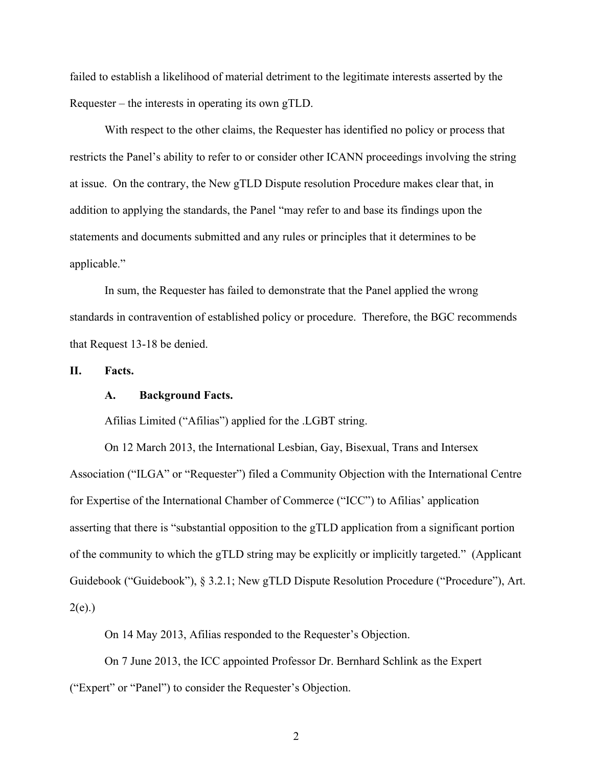failed to establish a likelihood of material detriment to the legitimate interests asserted by the Requester – the interests in operating its own gTLD.

With respect to the other claims, the Requester has identified no policy or process that restricts the Panel's ability to refer to or consider other ICANN proceedings involving the string at issue. On the contrary, the New gTLD Dispute resolution Procedure makes clear that, in addition to applying the standards, the Panel "may refer to and base its findings upon the statements and documents submitted and any rules or principles that it determines to be applicable."

In sum, the Requester has failed to demonstrate that the Panel applied the wrong standards in contravention of established policy or procedure. Therefore, the BGC recommends that Request 13-18 be denied.

**II. Facts.**

#### **A. Background Facts.**

Afilias Limited ("Afilias") applied for the .LGBT string.

On 12 March 2013, the International Lesbian, Gay, Bisexual, Trans and Intersex Association ("ILGA" or "Requester") filed a Community Objection with the International Centre for Expertise of the International Chamber of Commerce ("ICC") to Afilias' application asserting that there is "substantial opposition to the gTLD application from a significant portion of the community to which the gTLD string may be explicitly or implicitly targeted." (Applicant Guidebook ("Guidebook"), § 3.2.1; New gTLD Dispute Resolution Procedure ("Procedure"), Art.  $2(e)$ .)

On 14 May 2013, Afilias responded to the Requester's Objection.

On 7 June 2013, the ICC appointed Professor Dr. Bernhard Schlink as the Expert ("Expert" or "Panel") to consider the Requester's Objection.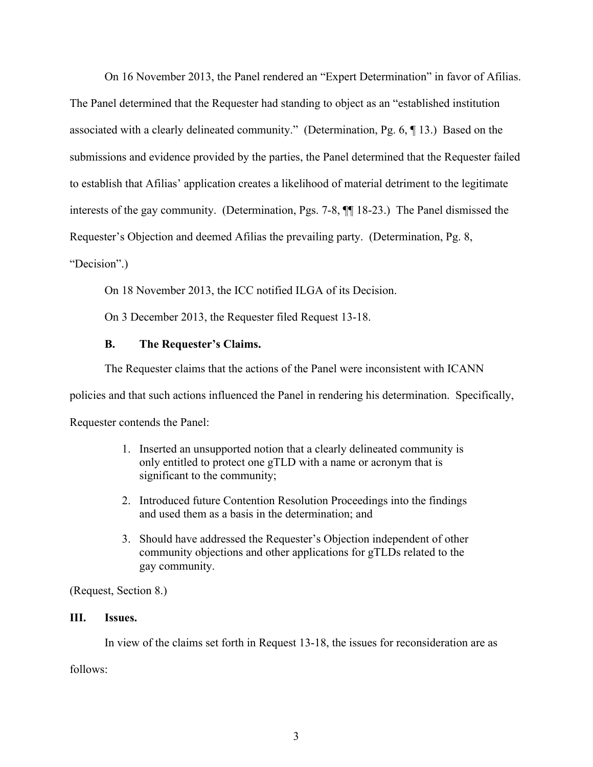On 16 November 2013, the Panel rendered an "Expert Determination" in favor of Afilias. The Panel determined that the Requester had standing to object as an "established institution associated with a clearly delineated community." (Determination, Pg. 6, ¶ 13.) Based on the submissions and evidence provided by the parties, the Panel determined that the Requester failed to establish that Afilias' application creates a likelihood of material detriment to the legitimate interests of the gay community. (Determination, Pgs. 7-8, ¶¶ 18-23.) The Panel dismissed the Requester's Objection and deemed Afilias the prevailing party. (Determination, Pg. 8,

"Decision".)

On 18 November 2013, the ICC notified ILGA of its Decision.

On 3 December 2013, the Requester filed Request 13-18.

## **B. The Requester's Claims.**

The Requester claims that the actions of the Panel were inconsistent with ICANN

policies and that such actions influenced the Panel in rendering his determination. Specifically,

Requester contends the Panel:

- 1. Inserted an unsupported notion that a clearly delineated community is only entitled to protect one gTLD with a name or acronym that is significant to the community;
- 2. Introduced future Contention Resolution Proceedings into the findings and used them as a basis in the determination; and
- 3. Should have addressed the Requester's Objection independent of other community objections and other applications for gTLDs related to the gay community.

(Request, Section 8.)

## **III. Issues.**

In view of the claims set forth in Request 13-18, the issues for reconsideration are as

follows: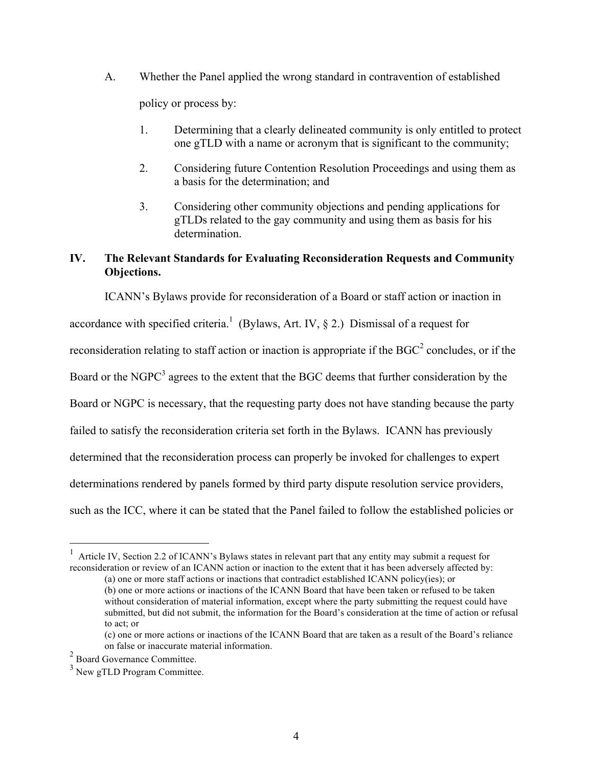- A. Whether the Panel applied the wrong standard in contravention of established policy or process by:
	- 1. Determining that a clearly delineated community is only entitled to protect one gTLD with a name or acronym that is significant to the community;
	- 2. Considering future Contention Resolution Proceedings and using them as a basis for the determination; and
	- 3. Considering other community objections and pending applications for gTLDs related to the gay community and using them as basis for his determination.

## **IV. The Relevant Standards for Evaluating Reconsideration Requests and Community Objections.**

ICANN's Bylaws provide for reconsideration of a Board or staff action or inaction in accordance with specified criteria.<sup>1</sup> (Bylaws, Art. IV,  $\S$  2.) Dismissal of a request for reconsideration relating to staff action or inaction is appropriate if the  $BGC^2$  concludes, or if the Board or the NGPC<sup>3</sup> agrees to the extent that the BGC deems that further consideration by the Board or NGPC is necessary, that the requesting party does not have standing because the party failed to satisfy the reconsideration criteria set forth in the Bylaws. ICANN has previously determined that the reconsideration process can properly be invoked for challenges to expert determinations rendered by panels formed by third party dispute resolution service providers, such as the ICC, where it can be stated that the Panel failed to follow the established policies or

 $\frac{1}{1}$  Article IV, Section 2.2 of ICANN's Bylaws states in relevant part that any entity may submit a request for reconsideration or review of an ICANN action or inaction to the extent that it has been adversely affected by:

<sup>(</sup>a) one or more staff actions or inactions that contradict established ICANN policy(ies); or (b) one or more actions or inactions of the ICANN Board that have been taken or refused to be taken without consideration of material information, except where the party submitting the request could have submitted, but did not submit, the information for the Board's consideration at the time of action or refusal to act; or

<sup>(</sup>c) one or more actions or inactions of the ICANN Board that are taken as a result of the Board's reliance on false or inaccurate material information.

<sup>2</sup> Board Governance Committee.

<sup>&</sup>lt;sup>3</sup> New gTLD Program Committee.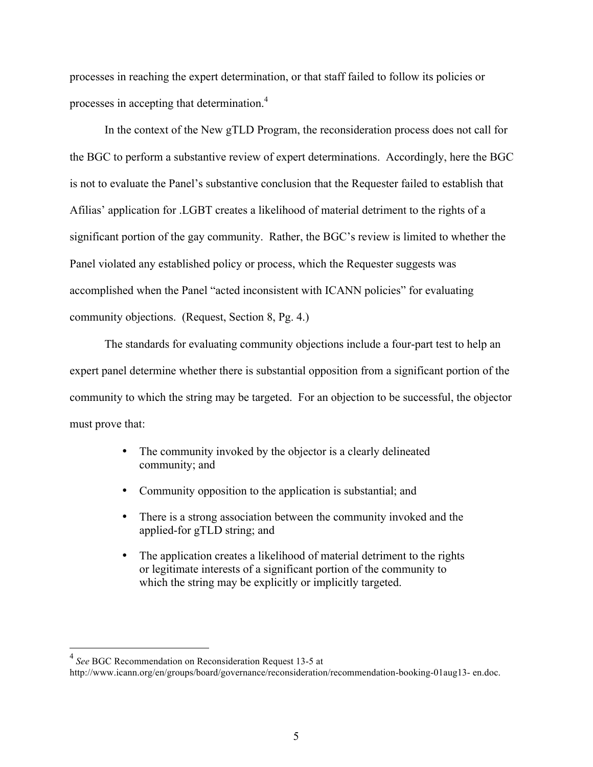processes in reaching the expert determination, or that staff failed to follow its policies or processes in accepting that determination.4

In the context of the New gTLD Program, the reconsideration process does not call for the BGC to perform a substantive review of expert determinations. Accordingly, here the BGC is not to evaluate the Panel's substantive conclusion that the Requester failed to establish that Afilias' application for .LGBT creates a likelihood of material detriment to the rights of a significant portion of the gay community. Rather, the BGC's review is limited to whether the Panel violated any established policy or process, which the Requester suggests was accomplished when the Panel "acted inconsistent with ICANN policies" for evaluating community objections. (Request, Section 8, Pg. 4.)

The standards for evaluating community objections include a four-part test to help an expert panel determine whether there is substantial opposition from a significant portion of the community to which the string may be targeted. For an objection to be successful, the objector must prove that:

- The community invoked by the objector is a clearly delineated community; and
- Community opposition to the application is substantial; and
- There is a strong association between the community invoked and the applied-for gTLD string; and
- The application creates a likelihood of material detriment to the rights or legitimate interests of a significant portion of the community to which the string may be explicitly or implicitly targeted.

 <sup>4</sup> *See* BGC Recommendation on Reconsideration Request 13-5 at

http://www.icann.org/en/groups/board/governance/reconsideration/recommendation-booking-01aug13- en.doc.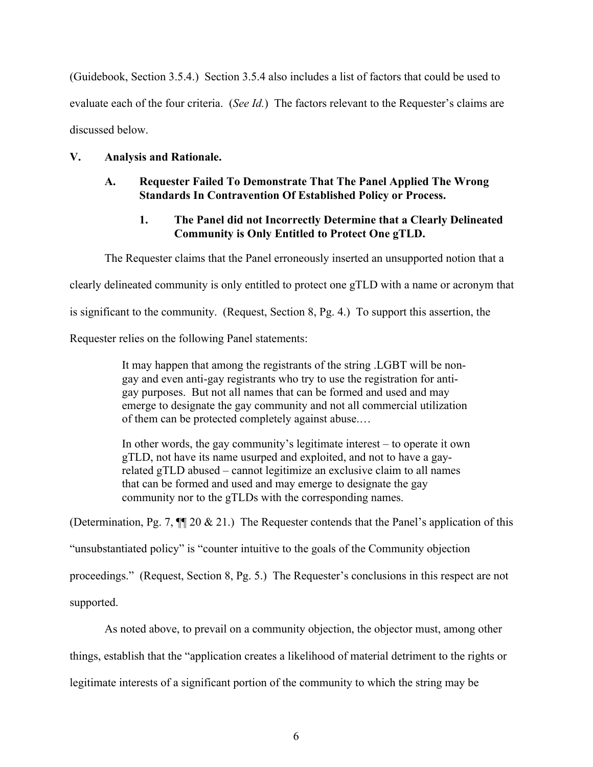(Guidebook, Section 3.5.4.) Section 3.5.4 also includes a list of factors that could be used to evaluate each of the four criteria. (*See Id.*) The factors relevant to the Requester's claims are discussed below.

#### **V. Analysis and Rationale.**

### **A. Requester Failed To Demonstrate That The Panel Applied The Wrong Standards In Contravention Of Established Policy or Process.**

## **1. The Panel did not Incorrectly Determine that a Clearly Delineated Community is Only Entitled to Protect One gTLD.**

The Requester claims that the Panel erroneously inserted an unsupported notion that a

clearly delineated community is only entitled to protect one gTLD with a name or acronym that

is significant to the community. (Request, Section 8, Pg. 4.) To support this assertion, the

Requester relies on the following Panel statements:

It may happen that among the registrants of the string .LGBT will be nongay and even anti-gay registrants who try to use the registration for antigay purposes. But not all names that can be formed and used and may emerge to designate the gay community and not all commercial utilization of them can be protected completely against abuse.…

In other words, the gay community's legitimate interest – to operate it own gTLD, not have its name usurped and exploited, and not to have a gayrelated gTLD abused – cannot legitimize an exclusive claim to all names that can be formed and used and may emerge to designate the gay community nor to the gTLDs with the corresponding names.

(Determination, Pg. 7,  $\P$  20 & 21.) The Requester contends that the Panel's application of this

"unsubstantiated policy" is "counter intuitive to the goals of the Community objection

proceedings." (Request, Section 8, Pg. 5.) The Requester's conclusions in this respect are not

supported.

As noted above, to prevail on a community objection, the objector must, among other

things, establish that the "application creates a likelihood of material detriment to the rights or

legitimate interests of a significant portion of the community to which the string may be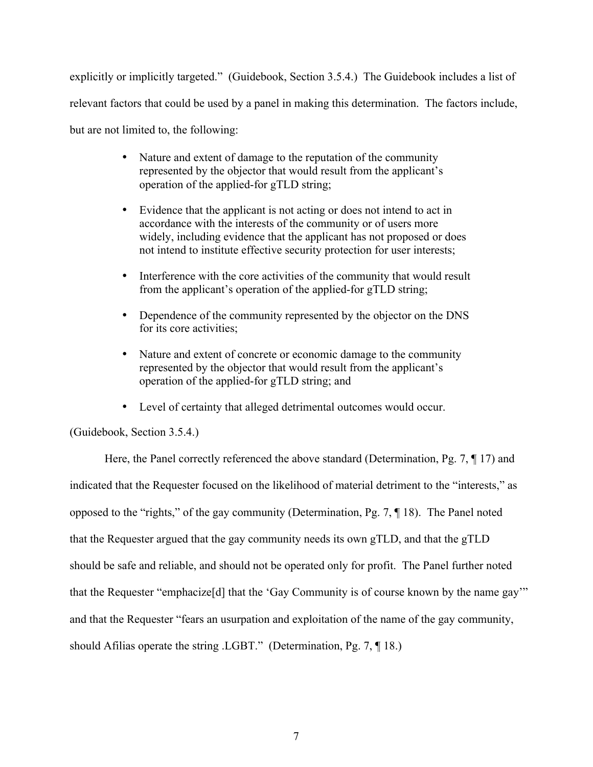explicitly or implicitly targeted." (Guidebook, Section 3.5.4.) The Guidebook includes a list of relevant factors that could be used by a panel in making this determination. The factors include, but are not limited to, the following:

- Nature and extent of damage to the reputation of the community represented by the objector that would result from the applicant's operation of the applied-for gTLD string;
- Evidence that the applicant is not acting or does not intend to act in accordance with the interests of the community or of users more widely, including evidence that the applicant has not proposed or does not intend to institute effective security protection for user interests;
- Interference with the core activities of the community that would result from the applicant's operation of the applied-for gTLD string;
- Dependence of the community represented by the objector on the DNS for its core activities;
- Nature and extent of concrete or economic damage to the community represented by the objector that would result from the applicant's operation of the applied-for gTLD string; and
- Level of certainty that alleged detrimental outcomes would occur.

(Guidebook, Section 3.5.4.)

Here, the Panel correctly referenced the above standard (Determination, Pg. 7, ¶ 17) and indicated that the Requester focused on the likelihood of material detriment to the "interests," as opposed to the "rights," of the gay community (Determination, Pg. 7, ¶ 18). The Panel noted that the Requester argued that the gay community needs its own gTLD, and that the gTLD should be safe and reliable, and should not be operated only for profit. The Panel further noted that the Requester "emphacize[d] that the 'Gay Community is of course known by the name gay'" and that the Requester "fears an usurpation and exploitation of the name of the gay community, should Afilias operate the string .LGBT." (Determination, Pg. 7, ¶ 18.)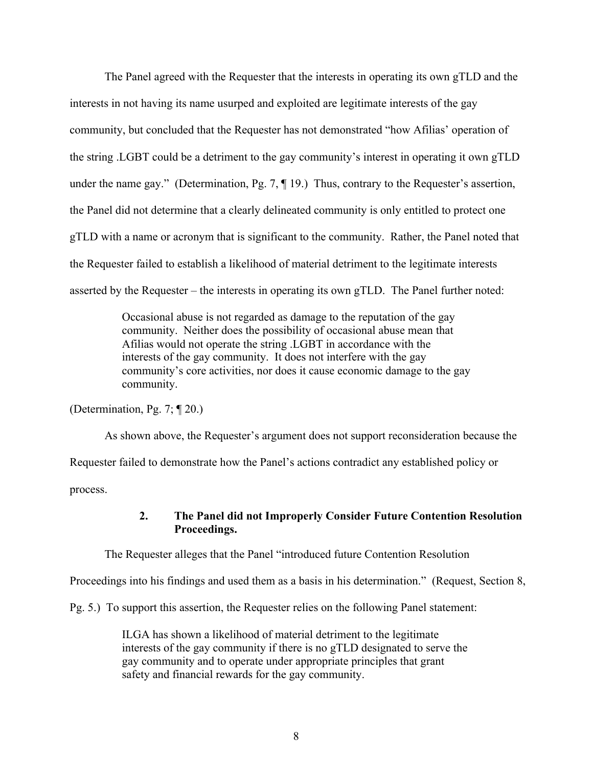The Panel agreed with the Requester that the interests in operating its own gTLD and the interests in not having its name usurped and exploited are legitimate interests of the gay community, but concluded that the Requester has not demonstrated "how Afilias' operation of the string .LGBT could be a detriment to the gay community's interest in operating it own gTLD under the name gay." (Determination, Pg. 7, ¶ 19.) Thus, contrary to the Requester's assertion, the Panel did not determine that a clearly delineated community is only entitled to protect one gTLD with a name or acronym that is significant to the community. Rather, the Panel noted that the Requester failed to establish a likelihood of material detriment to the legitimate interests asserted by the Requester – the interests in operating its own gTLD. The Panel further noted:

> Occasional abuse is not regarded as damage to the reputation of the gay community. Neither does the possibility of occasional abuse mean that Afilias would not operate the string .LGBT in accordance with the interests of the gay community. It does not interfere with the gay community's core activities, nor does it cause economic damage to the gay community.

(Determination, Pg. 7; ¶ 20.)

As shown above, the Requester's argument does not support reconsideration because the Requester failed to demonstrate how the Panel's actions contradict any established policy or process.

### **2. The Panel did not Improperly Consider Future Contention Resolution Proceedings.**

The Requester alleges that the Panel "introduced future Contention Resolution

Proceedings into his findings and used them as a basis in his determination." (Request, Section 8,

Pg. 5.) To support this assertion, the Requester relies on the following Panel statement:

ILGA has shown a likelihood of material detriment to the legitimate interests of the gay community if there is no gTLD designated to serve the gay community and to operate under appropriate principles that grant safety and financial rewards for the gay community.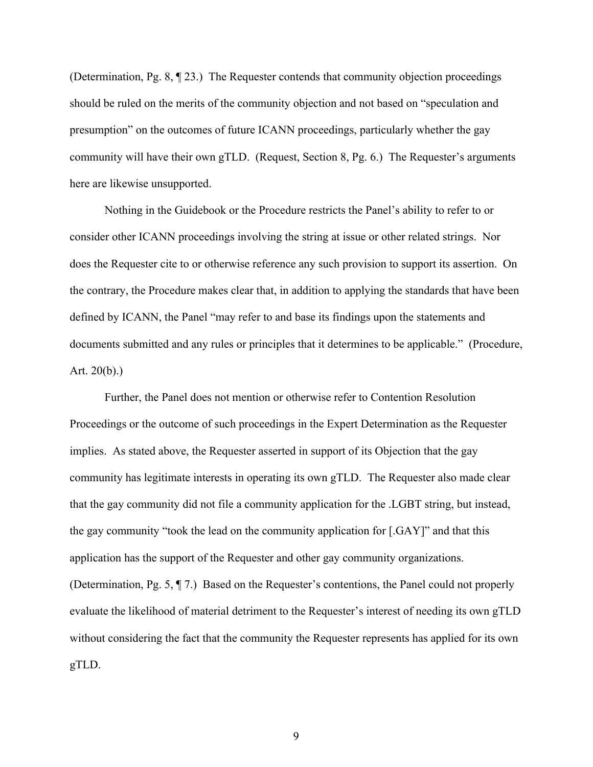(Determination, Pg. 8, ¶ 23.) The Requester contends that community objection proceedings should be ruled on the merits of the community objection and not based on "speculation and presumption" on the outcomes of future ICANN proceedings, particularly whether the gay community will have their own gTLD. (Request, Section 8, Pg. 6.) The Requester's arguments here are likewise unsupported.

Nothing in the Guidebook or the Procedure restricts the Panel's ability to refer to or consider other ICANN proceedings involving the string at issue or other related strings. Nor does the Requester cite to or otherwise reference any such provision to support its assertion. On the contrary, the Procedure makes clear that, in addition to applying the standards that have been defined by ICANN, the Panel "may refer to and base its findings upon the statements and documents submitted and any rules or principles that it determines to be applicable." (Procedure, Art.  $20(b)$ .)

Further, the Panel does not mention or otherwise refer to Contention Resolution Proceedings or the outcome of such proceedings in the Expert Determination as the Requester implies. As stated above, the Requester asserted in support of its Objection that the gay community has legitimate interests in operating its own gTLD. The Requester also made clear that the gay community did not file a community application for the .LGBT string, but instead, the gay community "took the lead on the community application for [.GAY]" and that this application has the support of the Requester and other gay community organizations. (Determination, Pg. 5, ¶ 7.) Based on the Requester's contentions, the Panel could not properly evaluate the likelihood of material detriment to the Requester's interest of needing its own gTLD without considering the fact that the community the Requester represents has applied for its own gTLD.

9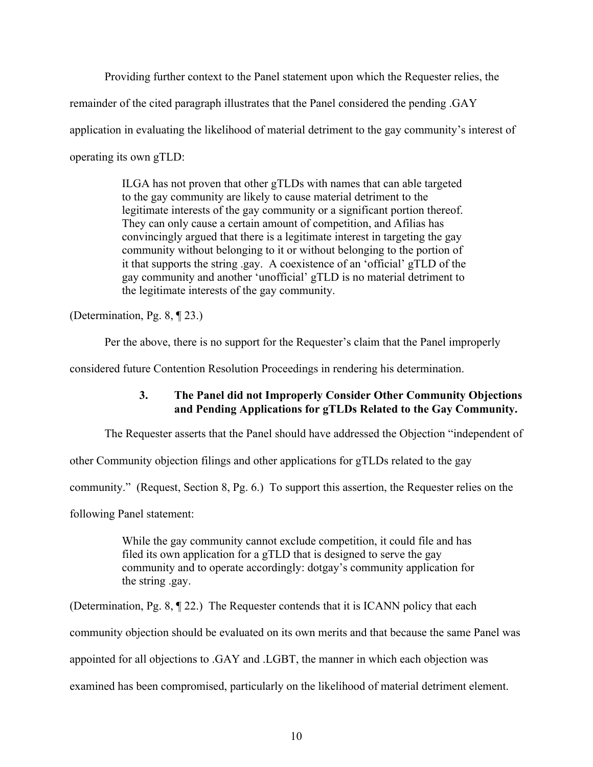Providing further context to the Panel statement upon which the Requester relies, the

remainder of the cited paragraph illustrates that the Panel considered the pending .GAY

application in evaluating the likelihood of material detriment to the gay community's interest of

operating its own gTLD:

ILGA has not proven that other gTLDs with names that can able targeted to the gay community are likely to cause material detriment to the legitimate interests of the gay community or a significant portion thereof. They can only cause a certain amount of competition, and Afilias has convincingly argued that there is a legitimate interest in targeting the gay community without belonging to it or without belonging to the portion of it that supports the string .gay. A coexistence of an 'official' gTLD of the gay community and another 'unofficial' gTLD is no material detriment to the legitimate interests of the gay community.

(Determination, Pg. 8, ¶ 23.)

Per the above, there is no support for the Requester's claim that the Panel improperly

considered future Contention Resolution Proceedings in rendering his determination.

## **3. The Panel did not Improperly Consider Other Community Objections and Pending Applications for gTLDs Related to the Gay Community.**

The Requester asserts that the Panel should have addressed the Objection "independent of

other Community objection filings and other applications for gTLDs related to the gay

community." (Request, Section 8, Pg. 6.) To support this assertion, the Requester relies on the

following Panel statement:

While the gay community cannot exclude competition, it could file and has filed its own application for a gTLD that is designed to serve the gay community and to operate accordingly: dotgay's community application for the string .gay.

(Determination, Pg. 8, ¶ 22.) The Requester contends that it is ICANN policy that each community objection should be evaluated on its own merits and that because the same Panel was appointed for all objections to .GAY and .LGBT, the manner in which each objection was

examined has been compromised, particularly on the likelihood of material detriment element.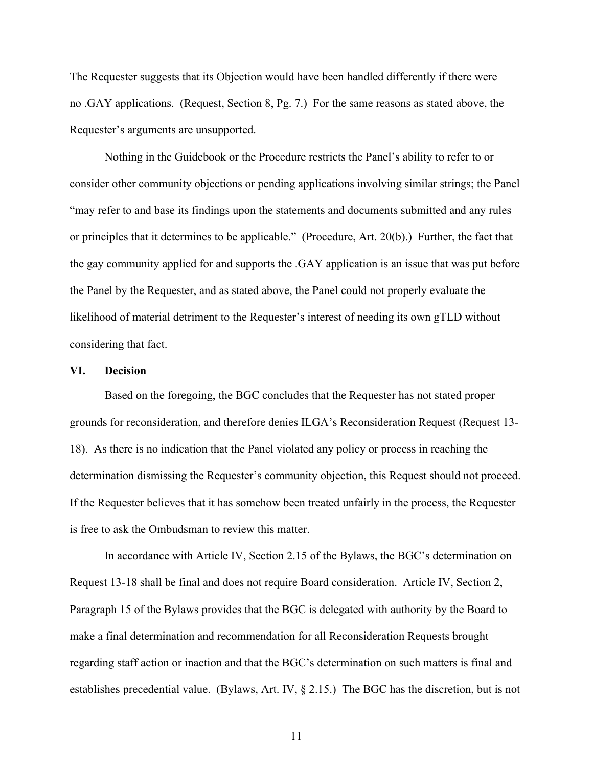The Requester suggests that its Objection would have been handled differently if there were no .GAY applications. (Request, Section 8, Pg. 7.) For the same reasons as stated above, the Requester's arguments are unsupported.

Nothing in the Guidebook or the Procedure restricts the Panel's ability to refer to or consider other community objections or pending applications involving similar strings; the Panel "may refer to and base its findings upon the statements and documents submitted and any rules or principles that it determines to be applicable." (Procedure, Art. 20(b).) Further, the fact that the gay community applied for and supports the .GAY application is an issue that was put before the Panel by the Requester, and as stated above, the Panel could not properly evaluate the likelihood of material detriment to the Requester's interest of needing its own gTLD without considering that fact.

#### **VI. Decision**

Based on the foregoing, the BGC concludes that the Requester has not stated proper grounds for reconsideration, and therefore denies ILGA's Reconsideration Request (Request 13- 18). As there is no indication that the Panel violated any policy or process in reaching the determination dismissing the Requester's community objection, this Request should not proceed. If the Requester believes that it has somehow been treated unfairly in the process, the Requester is free to ask the Ombudsman to review this matter.

In accordance with Article IV, Section 2.15 of the Bylaws, the BGC's determination on Request 13-18 shall be final and does not require Board consideration. Article IV, Section 2, Paragraph 15 of the Bylaws provides that the BGC is delegated with authority by the Board to make a final determination and recommendation for all Reconsideration Requests brought regarding staff action or inaction and that the BGC's determination on such matters is final and establishes precedential value. (Bylaws, Art. IV, § 2.15.) The BGC has the discretion, but is not

11